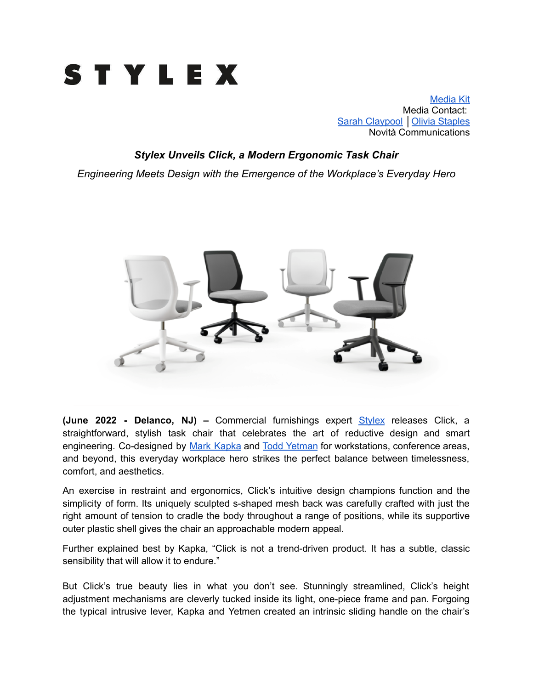

[Media](https://www.dropbox.com/sh/a3snlc9cdapuhnk/AACWfCc16ZMudp8iaCcn1i7da?dl=0) Kit Media Contact: Sarah [Claypool](mailto:sarah@novitapr.com) | Olivia [Staples](mailto:olivia@novtiapr.com) Novità Communications

## *Stylex Unveils Click, a Modern Ergonomic Task Chair*

*Engineering Meets Design with the Emergence of the Workplace's Everyday Hero*



**(June 2022 - Delanco, NJ) –** Commercial furnishings expert [Stylex](https://www.stylexseating.com/) releases [Click,](https://www.stylexseating.com/products/click/) a straightforward, stylish task chair that celebrates the art of reductive design and smart engineering. Co-designed by Mark [Kapka](https://www.stylexseating.com/designers/mark-kapka/) and Todd [Yetman](https://www.stylexseating.com/designers/todd-yetman/) for workstations, conference areas, and beyond, this everyday workplace hero strikes the perfect balance between timelessness, comfort, and aesthetics.

An exercise in restraint and ergonomics, Click's intuitive design champions function and the simplicity of form. Its uniquely sculpted s-shaped mesh back was carefully crafted with just the right amount of tension to cradle the body throughout a range of positions, while its supportive outer plastic shell gives the chair an approachable modern appeal.

Further explained best by Kapka, "Click is not a trend-driven product. It has a subtle, classic sensibility that will allow it to endure."

But Click's true beauty lies in what you don't see. Stunningly streamlined, Click's height adjustment mechanisms are cleverly tucked inside its light, one-piece frame and pan. Forgoing the typical intrusive lever, Kapka and Yetmen created an intrinsic sliding handle on the chair's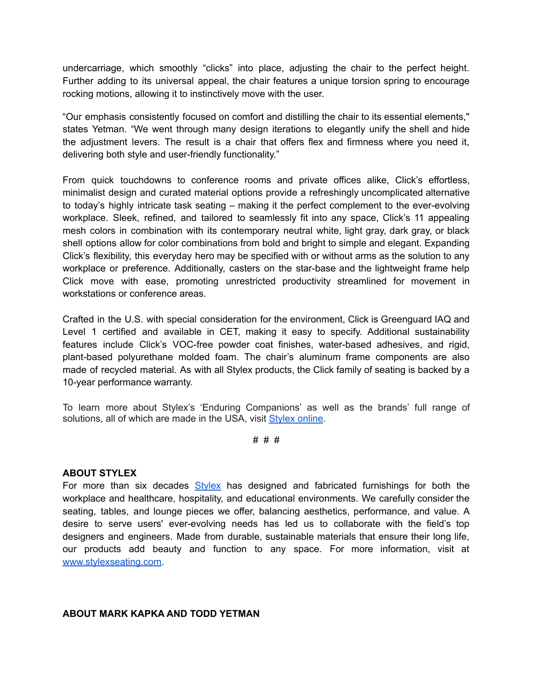undercarriage, which smoothly "clicks" into place, adjusting the chair to the perfect height. Further adding to its universal appeal, the chair features a unique torsion spring to encourage rocking motions, allowing it to instinctively move with the user.

"Our emphasis consistently focused on comfort and distilling the chair to its essential elements,'' states Yetman. "We went through many design iterations to elegantly unify the shell and hide the adjustment levers. The result is a chair that offers flex and firmness where you need it, delivering both style and user-friendly functionality."

From quick touchdowns to conference rooms and private offices alike, Click's effortless, minimalist design and curated material options provide a refreshingly uncomplicated alternative to today's highly intricate task seating – making it the perfect complement to the ever-evolving workplace. Sleek, refined, and tailored to seamlessly fit into any space, Click's 11 appealing mesh colors in combination with its contemporary neutral white, light gray, dark gray, or black shell options allow for color combinations from bold and bright to simple and elegant. Expanding Click's flexibility, this everyday hero may be specified with or without arms as the solution to any workplace or preference. Additionally, casters on the star-base and the lightweight frame help Click move with ease, promoting unrestricted productivity streamlined for movement in workstations or conference areas.

Crafted in the U.S. with special consideration for the environment, Click is Greenguard IAQ and Level 1 certified and available in CET, making it easy to specify. Additional sustainability features include Click's VOC-free powder coat finishes, water-based adhesives, and rigid, plant-based polyurethane molded foam. The chair's aluminum frame components are also made of recycled material. As with all Stylex products, the Click family of seating is backed by a 10-year performance warranty.

To learn more about Stylex's 'Enduring Companions' as well as the brands' full range of solutions, all of which are made in the USA, visit [Stylex](http://stylexseating.com/) online.

# # #

## **ABOUT STYLEX**

For more than six decades  $Stylex$  has designed and fabricated furnishings for both the workplace and healthcare, hospitality, and educational environments. We carefully consider the seating, tables, and lounge pieces we offer, balancing aesthetics, performance, and value. A desire to serve users' ever-evolving needs has led us to collaborate with the field's top designers and engineers. Made from durable, sustainable materials that ensure their long life, our products add beauty and function to any space. For more information, visit at [www.stylexseating.com.](http://www.stylexseating.com)

## **ABOUT MARK KAPKA AND TODD YETMAN**